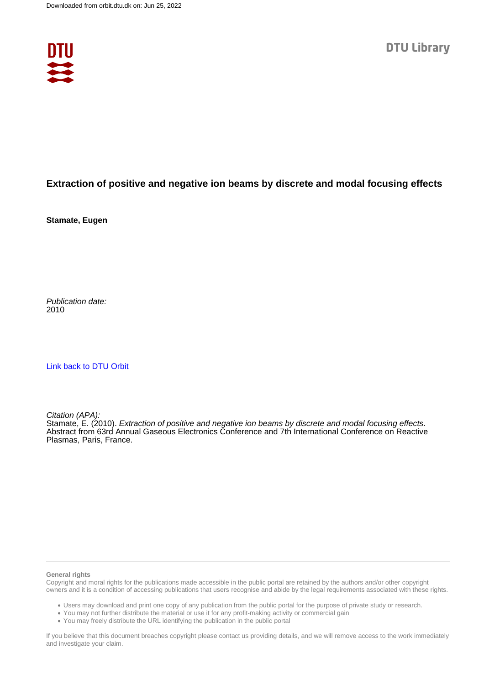

## **Extraction of positive and negative ion beams by discrete and modal focusing effects**

**Stamate, Eugen**

Publication date: 2010

[Link back to DTU Orbit](https://orbit.dtu.dk/en/publications/011208cc-c923-4f03-8ed6-b2f8a9bea2ad)

Citation (APA):

Stamate, E. (2010). Extraction of positive and negative ion beams by discrete and modal focusing effects. Abstract from 63rd Annual Gaseous Electronics Conference and 7th International Conference on Reactive Plasmas, Paris, France.

## **General rights**

Copyright and moral rights for the publications made accessible in the public portal are retained by the authors and/or other copyright owners and it is a condition of accessing publications that users recognise and abide by the legal requirements associated with these rights.

Users may download and print one copy of any publication from the public portal for the purpose of private study or research.

- You may not further distribute the material or use it for any profit-making activity or commercial gain
- You may freely distribute the URL identifying the publication in the public portal

If you believe that this document breaches copyright please contact us providing details, and we will remove access to the work immediately and investigate your claim.